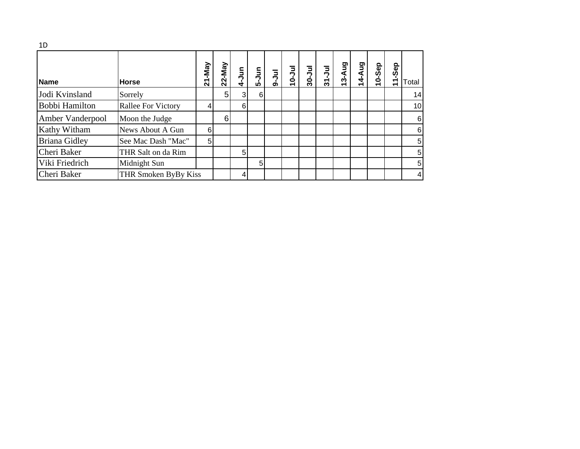| 1D                    |                           |                |                |                |                |          |             |             |            |        |        |        |                     |                 |
|-----------------------|---------------------------|----------------|----------------|----------------|----------------|----------|-------------|-------------|------------|--------|--------|--------|---------------------|-----------------|
| <b>Name</b>           | <b>Horse</b>              | <b>Z1-May</b>  | $22$ -May      | 4-Jun          | 5-Jun          | Jul<br>Φ | $10 - J$ ul | $30 - J$ ul | $31 -$ Jul | 13-Aug | 14-Aug | 10-Sep | Sep<br>$\mathbf{r}$ | Total           |
| Jodi Kvinsland        | Sorrely                   |                | 5 <sup>1</sup> | 3 <sup>l</sup> | 6 <sup>1</sup> |          |             |             |            |        |        |        |                     | 14              |
| <b>Bobbi Hamilton</b> | <b>Rallee For Victory</b> |                |                | 6              |                |          |             |             |            |        |        |        |                     | 10 <sup>1</sup> |
| Amber Vanderpool      | Moon the Judge            |                | $6 \mid$       |                |                |          |             |             |            |        |        |        |                     | 6               |
| Kathy Witham          | News About A Gun          | 6              |                |                |                |          |             |             |            |        |        |        |                     | 6               |
| <b>Briana Gidley</b>  | See Mac Dash "Mac"        | 5 <sup>1</sup> |                |                |                |          |             |             |            |        |        |        |                     | 5               |
| Cheri Baker           | THR Salt on da Rim        |                |                | 5 <sup>1</sup> |                |          |             |             |            |        |        |        |                     | 5               |
| Viki Friedrich        | Midnight Sun              |                |                |                | 5 <sup>1</sup> |          |             |             |            |        |        |        |                     | 5               |
| Cheri Baker           | THR Smoken ByBy Kiss      |                |                | 41             |                |          |             |             |            |        |        |        |                     | 4               |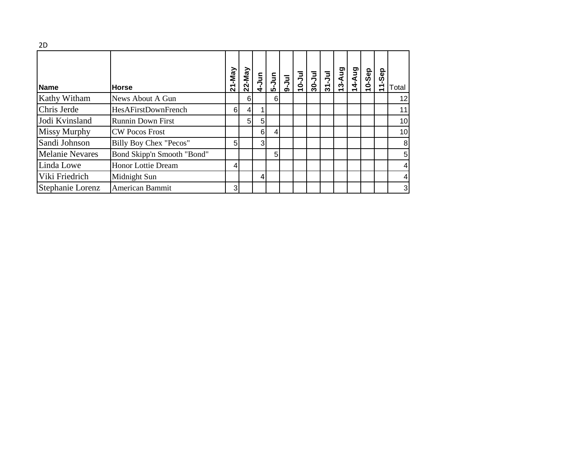| <b>Name</b>            | <b>Horse</b>               | $21-May$ |                | $\frac{22-May}{4-Jun}$ |                |  |  | <b>Bny-SL</b> | 14-Aug | 10-Sep | Sep<br>$\dot{\tau}$ | Total        |
|------------------------|----------------------------|----------|----------------|------------------------|----------------|--|--|---------------|--------|--------|---------------------|--------------|
| Kathy Witham           | News About A Gun           |          | 6              |                        | 61             |  |  |               |        |        |                     | 12           |
| Chris Jerde            | <b>HesAFirstDownFrench</b> | $6 \mid$ | $\overline{4}$ |                        |                |  |  |               |        |        |                     | 11           |
| Jodi Kvinsland         | <b>Runnin Down First</b>   |          | 5 <sub>l</sub> | 5                      |                |  |  |               |        |        |                     | 10           |
| Missy Murphy           | <b>CW Pocos Frost</b>      |          |                | 6                      | 4              |  |  |               |        |        |                     | 10           |
| Sandi Johnson          | Billy Boy Chex "Pecos"     | 5        |                | 3                      |                |  |  |               |        |        |                     | 8            |
| <b>Melanie Nevares</b> | Bond Skipp'n Smooth "Bond" |          |                |                        | 5 <sup>1</sup> |  |  |               |        |        |                     | 5            |
| Linda Lowe             | <b>Honor Lottie Dream</b>  | 4        |                |                        |                |  |  |               |        |        |                     | 4            |
| Viki Friedrich         | Midnight Sun               |          |                | 4                      |                |  |  |               |        |        |                     | 4            |
| Stephanie Lorenz       | American Bammit            | 3        |                |                        |                |  |  |               |        |        |                     | $\mathbf{3}$ |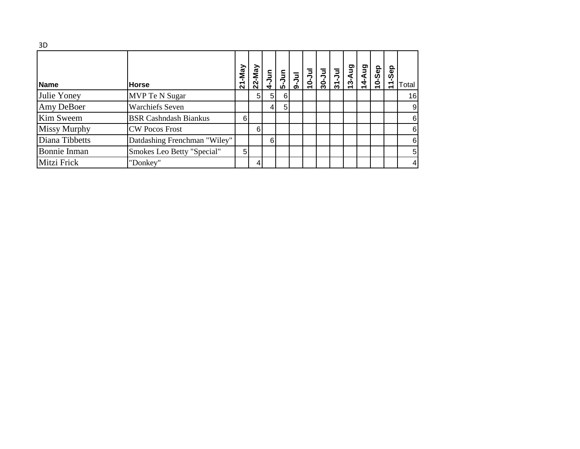| 3D                  |                              |        |          |                |   |  |  |        |       |       |        |                |
|---------------------|------------------------------|--------|----------|----------------|---|--|--|--------|-------|-------|--------|----------------|
| <b>Name</b>         | <b>Horse</b>                 | 21-May | 22-May   |                |   |  |  | 13-Aug | 4-Aug | 0-Sep | 11-Sep | Total          |
| Julie Yoney         | MVP Te N Sugar               |        | 51       | 5 <sub>l</sub> | 6 |  |  |        |       |       |        | 16             |
| Amy DeBoer          | <b>Warchiefs Seven</b>       |        |          | 41             | 5 |  |  |        |       |       |        | 9              |
| Kim Sweem           | <b>BSR Cashndash Biankus</b> | 6      |          |                |   |  |  |        |       |       |        | 6              |
| <b>Missy Murphy</b> | <b>CW Pocos Frost</b>        |        | $6 \mid$ |                |   |  |  |        |       |       |        | 6              |
| Diana Tibbetts      | Datdashing Frenchman "Wiley" |        |          | $6 \mid$       |   |  |  |        |       |       |        | 6              |
| Bonnie Inman        | Smokes Leo Betty "Special"   | 5      |          |                |   |  |  |        |       |       |        | 5 <sub>l</sub> |
| Mitzi Frick         | "Donkey"                     |        |          |                |   |  |  |        |       |       |        | $\overline{4}$ |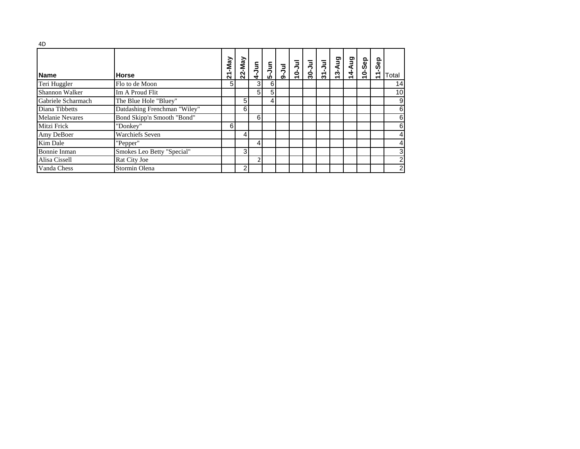| 4D                     |                              |        |           |                |                                                                                                                                                                             |               |        |           |                                               |       |        |          |                |
|------------------------|------------------------------|--------|-----------|----------------|-----------------------------------------------------------------------------------------------------------------------------------------------------------------------------|---------------|--------|-----------|-----------------------------------------------|-------|--------|----------|----------------|
| <b>Name</b>            | <b>Horse</b>                 | 21-May | $22$ -May |                | $\begin{array}{c} \begin{array}{c} 5 \\ -3 \\ -1 \\ -1 \end{array} \\ \begin{array}{c} 5 \\ -1 \\ -1 \end{array} \\ \begin{array}{c} 6 \\ -1 \\ -1 \end{array} \end{array}$ | <b>Inr-01</b> | 30-Jul | $31 - Ju$ | $\begin{array}{c}\n13-Aug \\ -2\n\end{array}$ | 4-Aug | 10-Sep | Sep<br>È | Total          |
| Teri Huggler           | Flo to de Moon               | 5      |           | 3 <sup>1</sup> | 6                                                                                                                                                                           |               |        |           |                                               |       |        |          | 14             |
| <b>Shannon Walker</b>  | Im A Proud Flit              |        |           | 5 <sub>l</sub> | 5                                                                                                                                                                           |               |        |           |                                               |       |        |          | 10             |
| Gabriele Scharmach     | The Blue Hole "Bluey"        |        | 5         |                | 4                                                                                                                                                                           |               |        |           |                                               |       |        |          | 9              |
| Diana Tibbetts         | Datdashing Frenchman "Wiley" |        | 6         |                |                                                                                                                                                                             |               |        |           |                                               |       |        |          | 6              |
| <b>Melanie Nevares</b> | Bond Skipp'n Smooth "Bond"   |        |           | 6              |                                                                                                                                                                             |               |        |           |                                               |       |        |          | 6              |
| Mitzi Frick            | "Donkey"                     | 6      |           |                |                                                                                                                                                                             |               |        |           |                                               |       |        |          | 6              |
| Amy DeBoer             | <b>Warchiefs Seven</b>       |        | 4         |                |                                                                                                                                                                             |               |        |           |                                               |       |        |          | 4              |
| Kim Dale               | "Pepper"                     |        |           | 4              |                                                                                                                                                                             |               |        |           |                                               |       |        |          | 4              |
| <b>Bonnie Inman</b>    | Smokes Leo Betty "Special"   |        | 3         |                |                                                                                                                                                                             |               |        |           |                                               |       |        |          | 3              |
| Alisa Cissell          | Rat City Joe                 |        |           | C              |                                                                                                                                                                             |               |        |           |                                               |       |        |          | $\overline{c}$ |
| Vanda Chess            | Stormin Olena                |        | 2         |                |                                                                                                                                                                             |               |        |           |                                               |       |        |          | 2              |